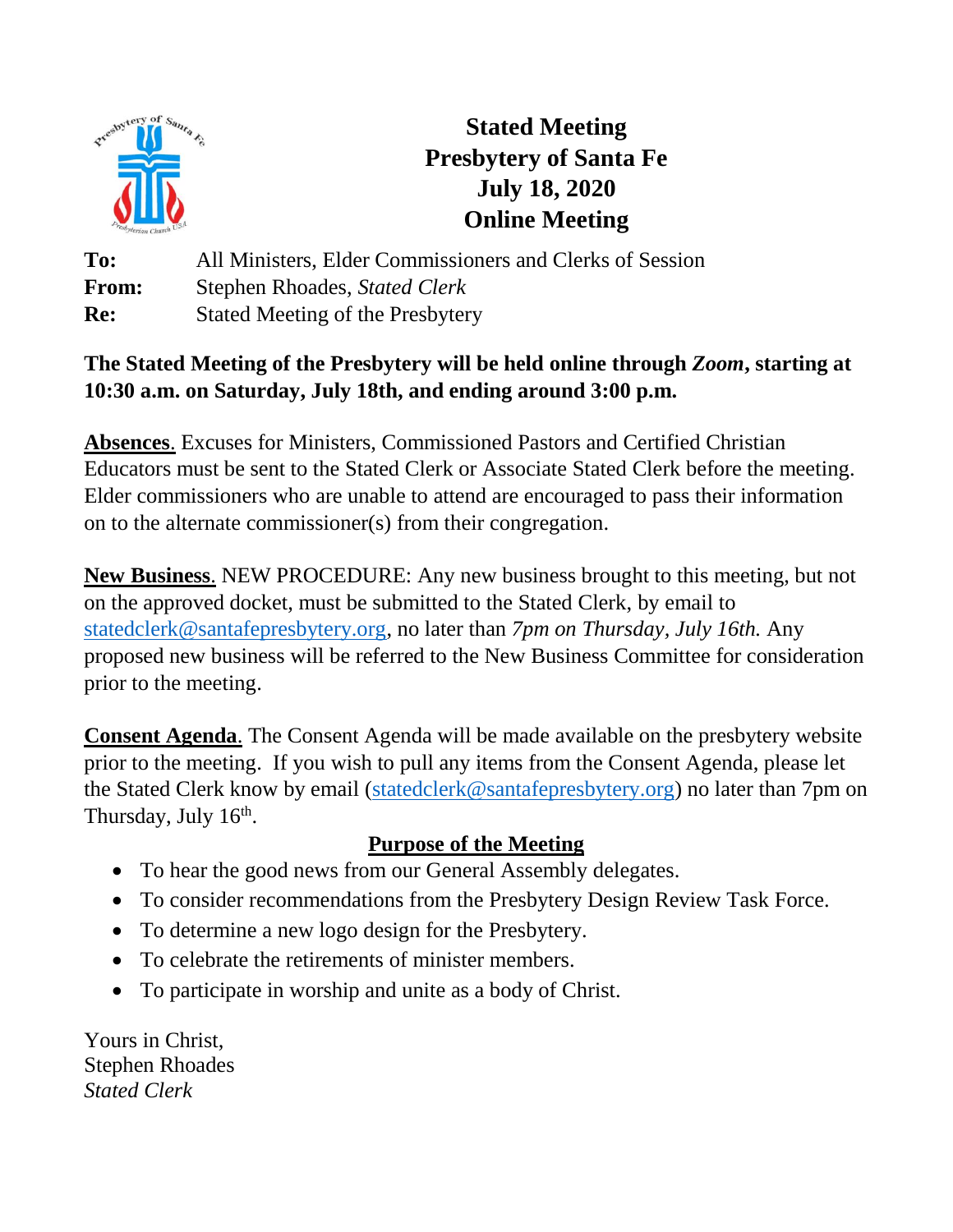

# **Stated Meeting Presbytery of Santa Fe July 18, 2020 Online Meeting**

**To:** All Ministers, Elder Commissioners and Clerks of Session **From:** Stephen Rhoades, *Stated Clerk* **Re:** Stated Meeting of the Presbytery

# **The Stated Meeting of the Presbytery will be held online through** *Zoom***, starting at 10:30 a.m. on Saturday, July 18th, and ending around 3:00 p.m.**

**Absences**. Excuses for Ministers, Commissioned Pastors and Certified Christian Educators must be sent to the Stated Clerk or Associate Stated Clerk before the meeting. Elder commissioners who are unable to attend are encouraged to pass their information on to the alternate commissioner(s) from their congregation.

**New Business**. NEW PROCEDURE: Any new business brought to this meeting, but not on the approved docket, must be submitted to the Stated Clerk, by email to [statedclerk@santafepresbytery.org,](file:///C:/Users/TLoFinch.DESKTOP-IKDVHSN/Desktop/statedclerk@santafepresbytery.org) no later than *7pm on Thursday, July 16th.* Any proposed new business will be referred to the New Business Committee for consideration prior to the meeting.

**Consent Agenda**. The Consent Agenda will be made available on the presbytery website prior to the meeting. If you wish to pull any items from the Consent Agenda, please let the Stated Clerk know by email [\(statedclerk@santafepresbytery.org\)](mailto:statedclerk@santafepresbytery.org) no later than 7pm on Thursday, July 16<sup>th</sup>.

# **Purpose of the Meeting**

- To hear the good news from our General Assembly delegates.
- To consider recommendations from the Presbytery Design Review Task Force.
- To determine a new logo design for the Presbytery.
- To celebrate the retirements of minister members.
- To participate in worship and unite as a body of Christ.

Yours in Christ, Stephen Rhoades *Stated Clerk*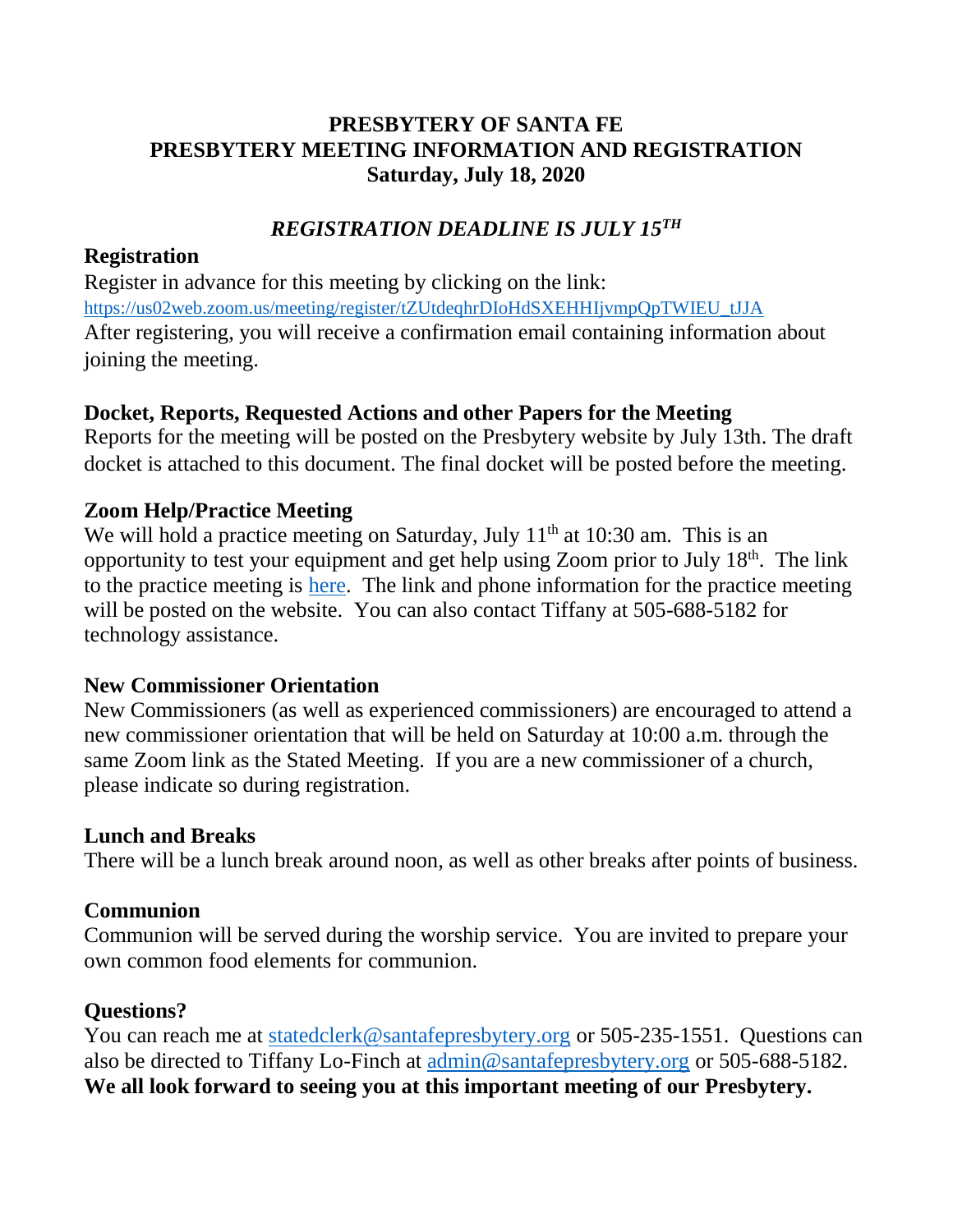# **PRESBYTERY OF SANTA FE PRESBYTERY MEETING INFORMATION AND REGISTRATION Saturday, July 18, 2020**

# *REGISTRATION DEADLINE IS JULY 15TH*

## **Registration**

Register in advance for this meeting by clicking on the link: [https://us02web.zoom.us/meeting/register/tZUtdeqhrDIoHdSXEHHIjvmpQpTWIEU\\_tJJA](https://us02web.zoom.us/meeting/register/tZUtdeqhrDIoHdSXEHHIjvmpQpTWIEU_tJJA) After registering, you will receive a confirmation email containing information about joining the meeting.

## **Docket, Reports, Requested Actions and other Papers for the Meeting**

Reports for the meeting will be posted on the Presbytery website by July 13th. The draft docket is attached to this document. The final docket will be posted before the meeting.

## **Zoom Help/Practice Meeting**

We will hold a practice meeting on Saturday, July  $11<sup>th</sup>$  at 10:30 am. This is an opportunity to test your equipment and get help using Zoom prior to July  $18<sup>th</sup>$ . The link to the practice meeting is [here.](https://us02web.zoom.us/j/87919630533) The link and phone information for the practice meeting will be posted on the website. You can also contact Tiffany at 505-688-5182 for technology assistance.

## **New Commissioner Orientation**

New Commissioners (as well as experienced commissioners) are encouraged to attend a new commissioner orientation that will be held on Saturday at 10:00 a.m. through the same Zoom link as the Stated Meeting. If you are a new commissioner of a church, please indicate so during registration.

## **Lunch and Breaks**

There will be a lunch break around noon, as well as other breaks after points of business.

## **Communion**

Communion will be served during the worship service. You are invited to prepare your own common food elements for communion.

# **Questions?**

You can reach me at [statedclerk@santafepresbytery.org](mailto:statedclerk@santafepresbytery.org) or 505-235-1551. Questions can also be directed to Tiffany Lo-Finch at [admin@santafepresbytery.org](mailto:admin@santafepresbytery.org) or 505-688-5182. **We all look forward to seeing you at this important meeting of our Presbytery.**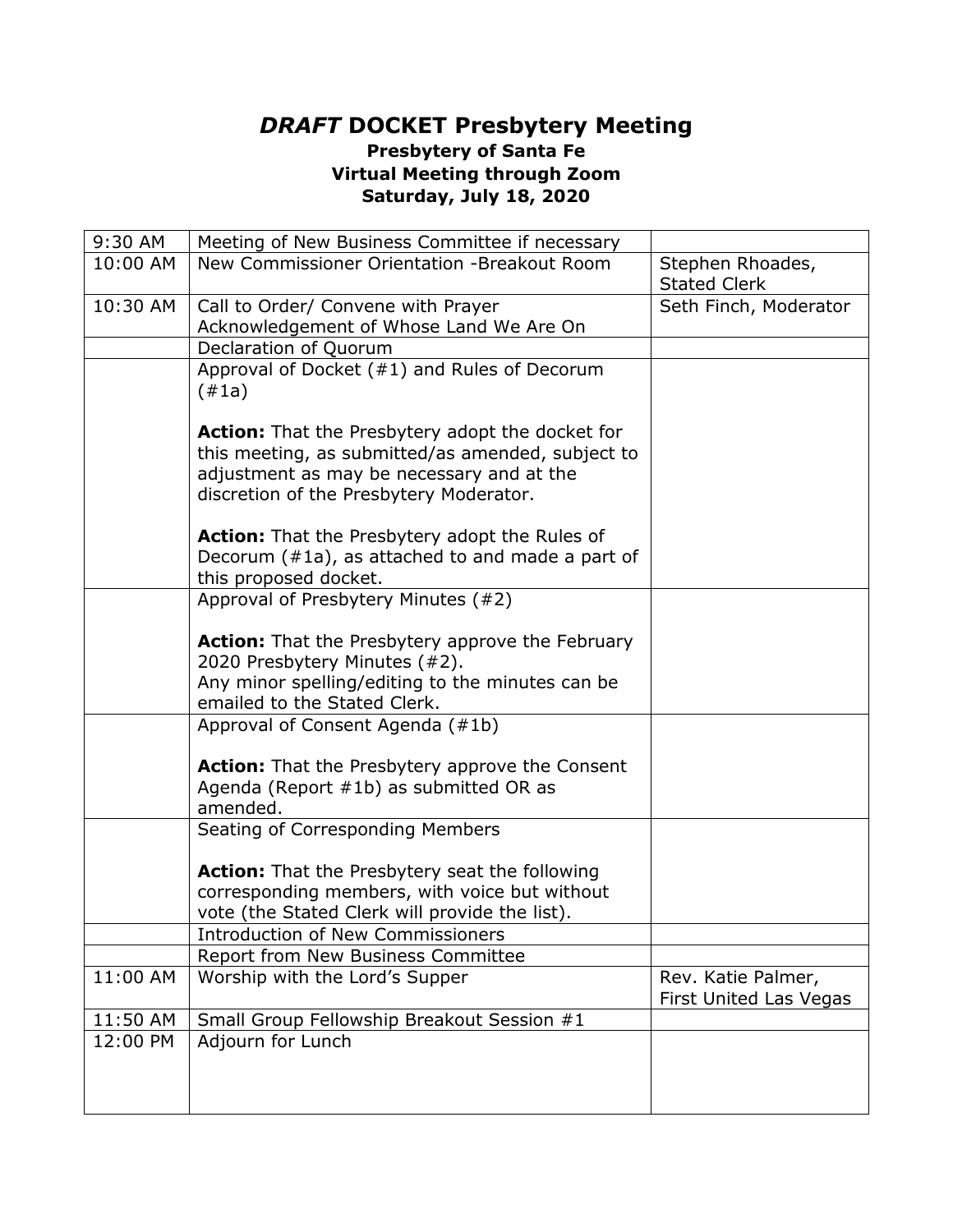#### *DRAFT* **DOCKET Presbytery Meeting Presbytery of Santa Fe Virtual Meeting through Zoom Saturday, July 18, 2020**

| 9:30 AM  | Meeting of New Business Committee if necessary                                                                                                                                                       |                                              |
|----------|------------------------------------------------------------------------------------------------------------------------------------------------------------------------------------------------------|----------------------------------------------|
| 10:00 AM | New Commissioner Orientation -Breakout Room                                                                                                                                                          | Stephen Rhoades,<br><b>Stated Clerk</b>      |
| 10:30 AM | Call to Order/ Convene with Prayer                                                                                                                                                                   | Seth Finch, Moderator                        |
|          | Acknowledgement of Whose Land We Are On                                                                                                                                                              |                                              |
|          | Declaration of Quorum                                                                                                                                                                                |                                              |
|          | Approval of Docket $(#1)$ and Rules of Decorum<br>(#1a)                                                                                                                                              |                                              |
|          | <b>Action:</b> That the Presbytery adopt the docket for<br>this meeting, as submitted/as amended, subject to<br>adjustment as may be necessary and at the<br>discretion of the Presbytery Moderator. |                                              |
|          | Action: That the Presbytery adopt the Rules of<br>Decorum $(*1a)$ , as attached to and made a part of<br>this proposed docket.                                                                       |                                              |
|          | Approval of Presbytery Minutes (#2)                                                                                                                                                                  |                                              |
|          | Action: That the Presbytery approve the February<br>2020 Presbytery Minutes (#2).                                                                                                                    |                                              |
|          | Any minor spelling/editing to the minutes can be<br>emailed to the Stated Clerk.                                                                                                                     |                                              |
|          | Approval of Consent Agenda (#1b)                                                                                                                                                                     |                                              |
|          | <b>Action:</b> That the Presbytery approve the Consent<br>Agenda (Report #1b) as submitted OR as<br>amended.                                                                                         |                                              |
|          | Seating of Corresponding Members                                                                                                                                                                     |                                              |
|          | <b>Action:</b> That the Presbytery seat the following                                                                                                                                                |                                              |
|          | corresponding members, with voice but without                                                                                                                                                        |                                              |
|          | vote (the Stated Clerk will provide the list).                                                                                                                                                       |                                              |
|          | <b>Introduction of New Commissioners</b>                                                                                                                                                             |                                              |
|          | <b>Report from New Business Committee</b>                                                                                                                                                            |                                              |
| 11:00 AM | Worship with the Lord's Supper                                                                                                                                                                       | Rev. Katie Palmer,<br>First United Las Vegas |
| 11:50 AM | Small Group Fellowship Breakout Session #1                                                                                                                                                           |                                              |
| 12:00 PM | Adjourn for Lunch                                                                                                                                                                                    |                                              |